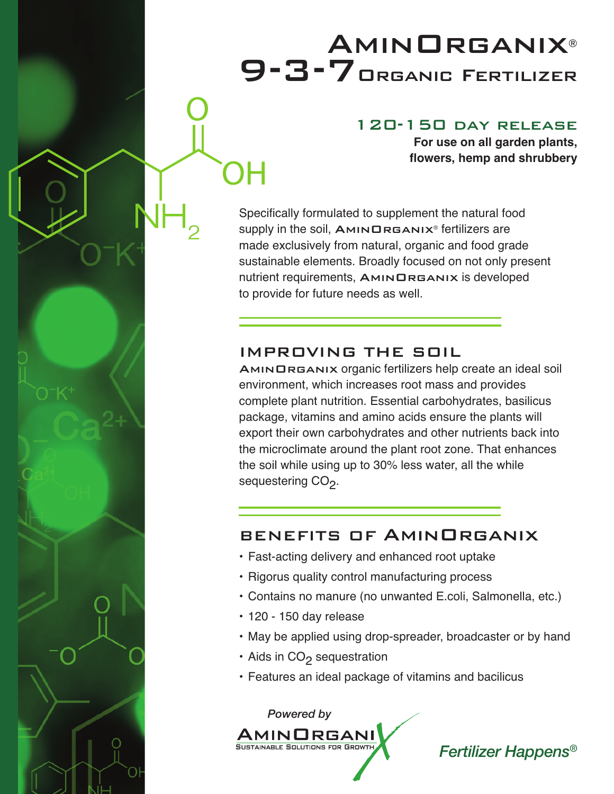## **AMINORGANIX®** 9-3-7Organic Fertilizer

## 120-150 day release

**For use on all garden plants, flowers, hemp and shrubbery**

Specifically formulated to supplement the natural food supply in the soil,  $AMINDREANIX<sup>®</sup>$  fertilizers are made exclusively from natural, organic and food grade sustainable elements. Broadly focused on not only present nutrient requirements, AMINORGANIX is developed to provide for future needs as well.

## IMPROVING THE SOIL

AMINORGANIX organic fertilizers help create an ideal soil environment, which increases root mass and provides complete plant nutrition. Essential carbohydrates, basilicus package, vitamins and amino acids ensure the plants will export their own carbohydrates and other nutrients back into the microclimate around the plant root zone. That enhances the soil while using up to 30% less water, all the while sequestering CO<sub>2</sub>.

## BENEFITS OF AminOrganix

- Fast-acting delivery and enhanced root uptake
- Rigorus quality control manufacturing process
- Contains no manure (no unwanted E.coli, Salmonella, etc.)
- 120 150 day release
- May be applied using drop-spreader, broadcaster or by hand
- Aids in CO<sub>2</sub> sequestration
- Features an ideal package of vitamins and bacilicus



*Fertilizer Happens®*